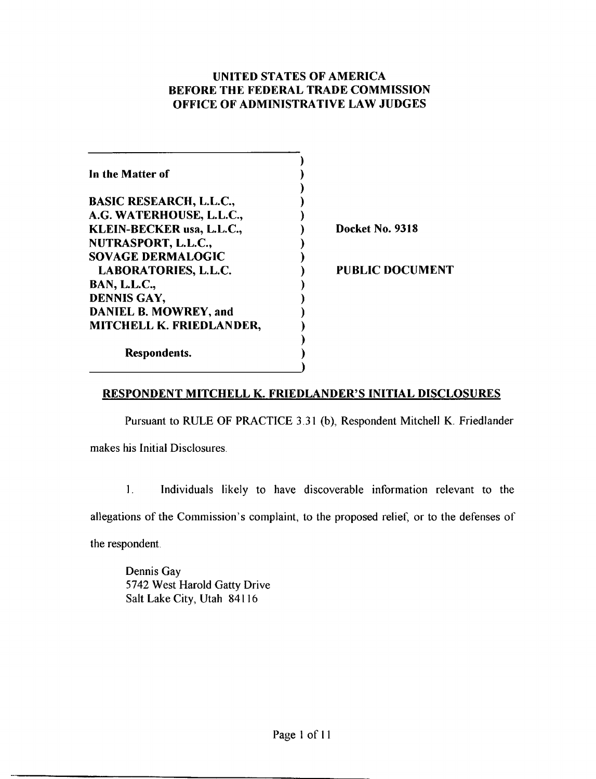## UNITED STATES OF AMERICA BEFORE THE FEDERAL TRADE COMMISSION OFFICE OF ADMINISTRATIVE LAW JUDGES

| In the Matter of               |                        |
|--------------------------------|------------------------|
| <b>BASIC RESEARCH, L.L.C.,</b> |                        |
| A.G. WATERHOUSE, L.L.C.,       |                        |
| KLEIN-BECKER usa, L.L.C.,      | Docket No. 9318        |
| NUTRASPORT, L.L.C.,            |                        |
| <b>SOVAGE DERMALOGIC</b>       |                        |
| <b>LABORATORIES, L.L.C.</b>    | <b>PUBLIC DOCUMENT</b> |
| <b>BAN, L.L.C.,</b>            |                        |
| DENNIS GAY,                    |                        |
| <b>DANIEL B. MOWREY, and</b>   |                        |
| MITCHELL K. FRIEDLANDER,       |                        |
| Respondents.                   |                        |

## RESPONDENT MITCHELL K. FRIEDLANDER'S INITIAL DISCLOSURES

Pursuant to RULE OF PRACTICE 3.31 (b), Respondent Mitchell K. Friedlander

makes his Initial Disclosures.

**1.** Individuals likely to have discoverable information relevant to the allegations of the Commission's complaint, to the proposed relief, or to the defenses of the respondent

Dennis Gay 5742 West Harold Gatty Drive Salt Lake City, Utah 84116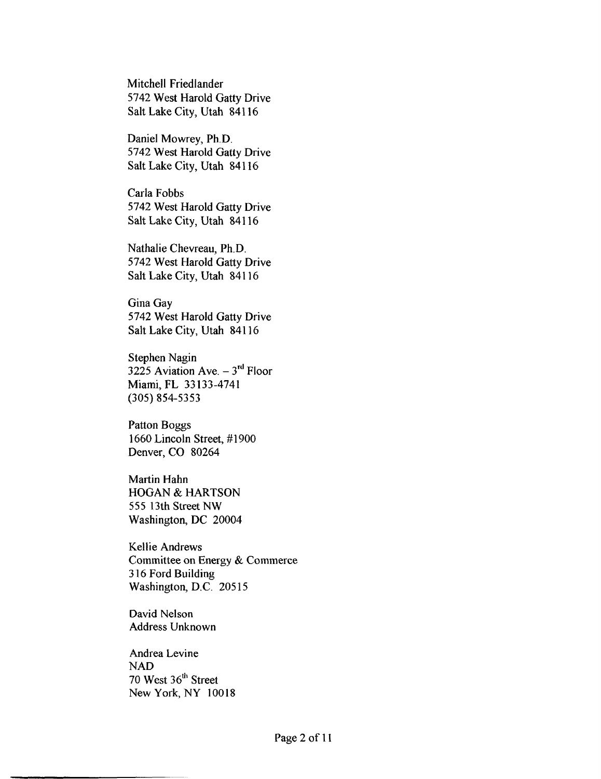Mitchell Friedlander 5742 West Harold Gatty Drive Salt Lake City, Utah 84116

Daniel Mowrey, Ph.D. 5742 West Harold Gatty Drive Salt Lake City, Utah 84 1 16

Carla Fobbs 5742 West Harold Gatty Drive Salt Lake City, Utah 84116

Nathalie Chevreau, Ph.D. 5742 West Harold Gatty Drive Salt Lake City, Utah 841 16

Gina Gay 5742 West Harold Gatty Drive Salt Lake City, Utah 84116

Stephen Nagin 3225 Aviation Ave.  $-3<sup>rd</sup>$  Floor Miami, FL 33133-4741 (305) 854-5353

Patton Boggs 1660 Lincoln Street, #I900 Denver, CO 80264

Martin Hahn HOGAN & HARTSON 555 13th Street NW Washington, DC 20004

Kellie Andrews Committee on Energy & Commerce 3 16 Ford Building Washington, D.C. 20515

David Nelson Address Unknown

Andrea Levine NAD 70 West 36<sup>th</sup> Street New York, NY 10018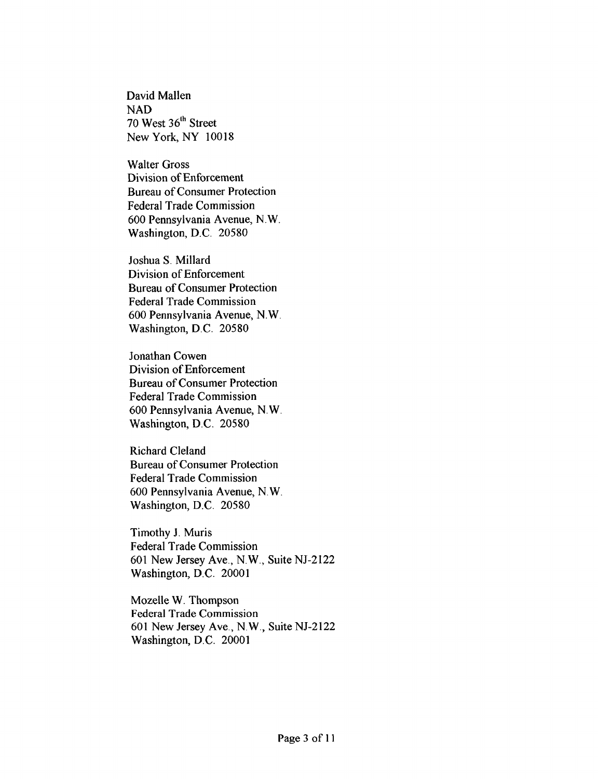David Mallen NAD 70 West 36<sup>th</sup> Street New York, **NY** 10018

Walter Gross Division of Enforcement Bureau of Consumer Protection Federal Trade Commission 600 Pennsylvania Avenue, N . W Washington, D.C. 20580

Joshua S. Millard Division of Enforcement Bureau of Consumer Protection Federal Trade Commission 600 Pennsylvania Avenue, N.W Washington, D.C. 20580

Jonathan Cowen Division of Enforcement Bureau of Consumer Protection Federal Trade Commission 600 Pennsylvania Avenue, N. W. Washington, D.C. 20580

Richard Cleland Bureau of Consumer Protection Federal Trade Commission 600 Pennsylvania Avenue, N. **W.**  Washington, D.C. 20580

Timothy J. Muris Federal Trade Commission 601 New Jersey Ave., N.W., Suite NJ-2122 Washington, D.C. 20001

Mozelle W. Thompson Federal Trade Commission *60* 1 New Jersey Ave., N. W ., Suite NJ-2122 Washington, D.C. 20001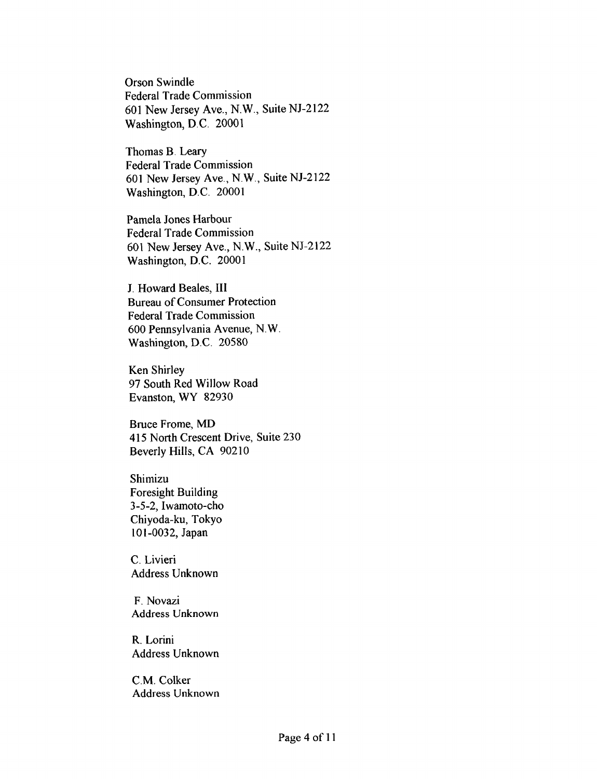Orson Swindle Federal Trade Commission 601 New Jersey Ave., N.W., Suite NJ-2122 Washington, D.C. 20001

Thomas B. Leary Federal Trade Commission 601 New Jersey Ave., N.W., Suite NJ-2122 Washington, D.C. 20001

Pamela Jones Harbour Federal Trade Commission 601 New Jersey Ave., N.W., Suite NJ-2122 Washington, D.C. 20001

J. Howard Beales, **111**  Bureau of Consumer Protection Federal Trade Commission 600 Pennsylvania Avenue, N. W Washington, D.C. 20580

Ken Shirley 97 South Red Willow Road Evanston, WY 82930

Bruce Frome, **MD**  415 North Crescent Drive, Suite 230 Beverly Hills, CA 902 10

Shimizu Foresight Building 3-5-2, Iwamoto-cho Chiyoda-ku, Tokyo 101-0032, Japan

C. Livieri Address Unknown

F. Novazi **Address** Unknown

R. Lorini Address Unknown

C.M. Colker **Address** Unknown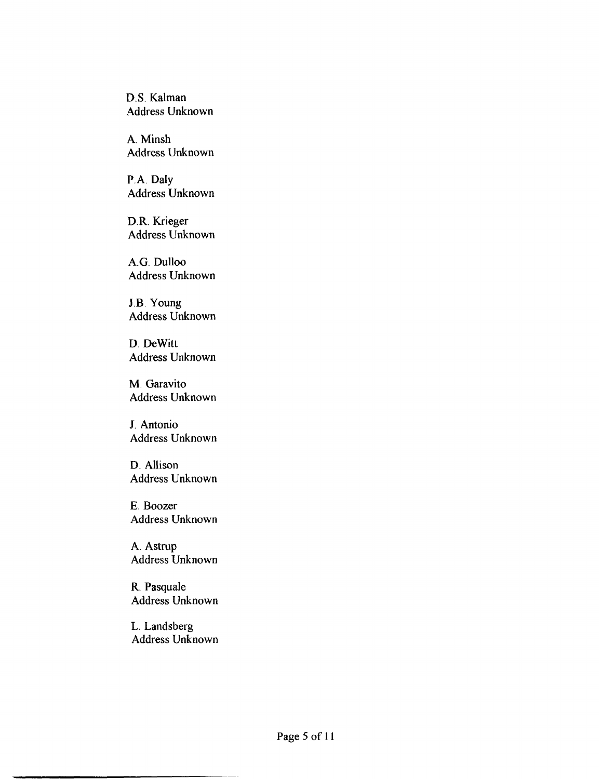**D.S. Kalman Address Unknown** 

**A. Minsh Address Unknown** 

**P.A. Daly Address Unknown** 

**D.R. Krieger Address Unknown** 

**A.G. Dulloo Address Unknown** 

**J.B. Young Address Unknown** 

**D. DeWitt Address Unknown** 

**M. Garavito Address Unknown** 

**J. Antonio Address Unknown** 

**D. Allison Address Unknown** 

**E. Boozer Address Unknown** 

**A. Aslrup Address Unknown** 

**R. Pasquale Address Unknown** 

**L. Landsberg Address Unknown**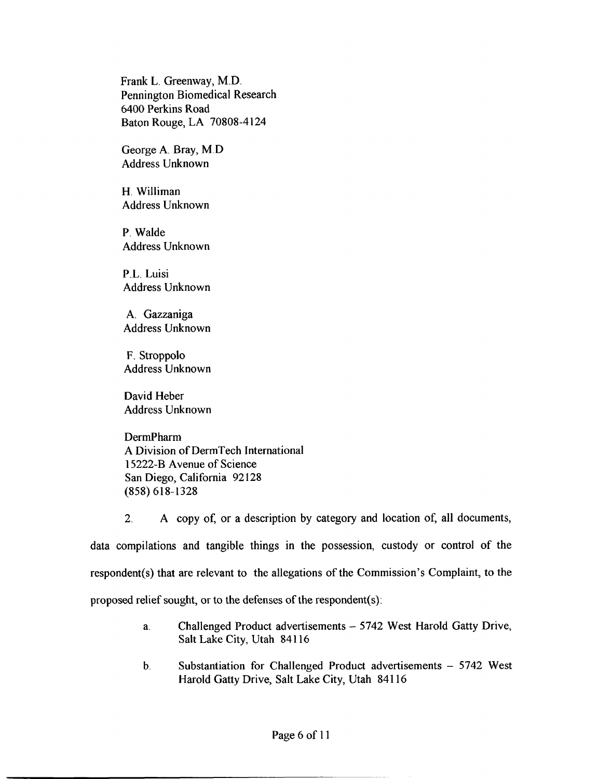Frank L. Greenway, M.D. Pennington Biomedical Research 6400 Perkms Road Baton Rouge, LA 70808-4 124

George A. Bray, M.D Address Unknown

H. Williman Address Unknown

P. Walde Address Unknown

P.L. Luisi Address Unknown

A. Gazzaniga Address Unknown

F. Stroppolo Address Unknown

David Heber Address Unknown

DermPharm A Division of DermTech International 15222-B Avenue of Science San Diego, California 92 128 (858) **61** 8-1328

2. A copy of, or a description by category and location of, all documents, data compilations and tangible things in the possession, custody or control of the respondent(s) that are relevant to the allegations of the Commission's Complaint, to the proposed relief sought, or to the defenses of the respondent(s):

- a. Challenged Product advertisements 5742 West Harold Gatty Drive, Salt Lake City, Utah **841** 16
- b. Substantiation for Challenged Product advertisements 5742 West Harold Gatty Drive, Salt Lake City, Utah 841 **16**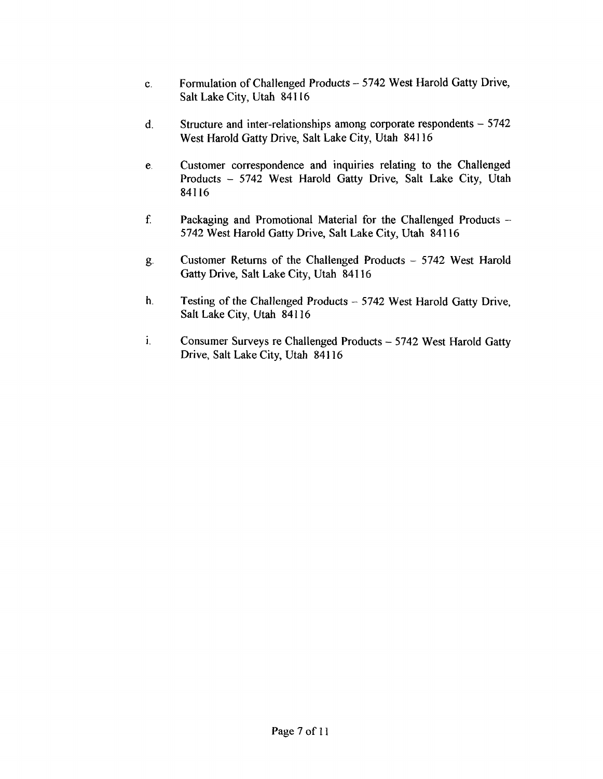- c. Formulation of Challenged Products 5742 West Harold Gatty Drive, Salt Lake City, Utah 841 16
- d. Structure and inter-relationships among corporate respondents  $-5742$ West Harold Gatty Drive, Salt Lake City, Utah **841** 16
- e. Customer correspondence and inquiries relating to the Challenged Products - 5742 West Harold Gatty Drive, Salt Lake City, Utah 841 16
- f. Packaging and Promotional Material for the Challenged Products -5742 West Harold Gatty Drive, Salt Lake City, Utah 841 16
- g. Customer Returns of the Challenged Products 5742 West Harold Gatty Drive, Salt Lake City, Utah 841 16
- **h.** Testing of the Challenged Products 5742 West Harold Gatty Drive, Salt Lake City, Utah **84** 1 16
- **1.** Consumer Surveys re Challenged Products 5742 West Harold Gatty Drive, Salt Lake City, Utah **84** 1 **16**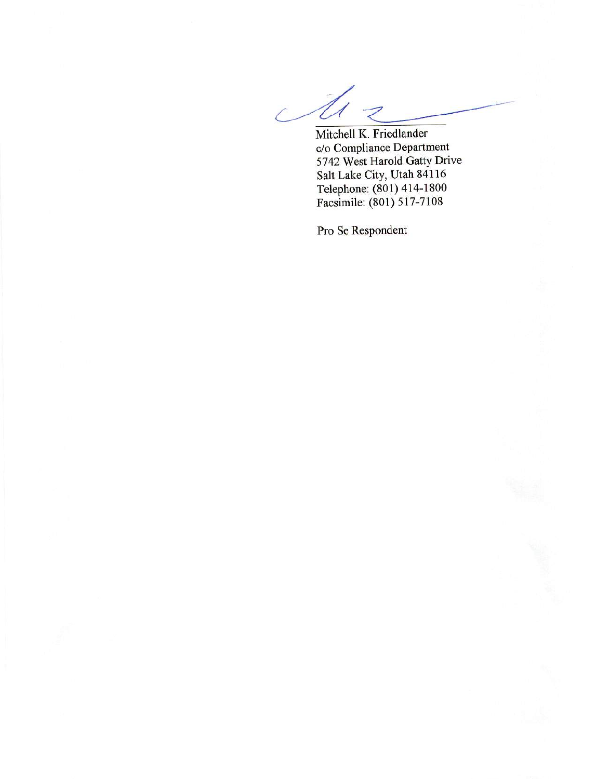$\mathcal{L}^{\perp}$ U

Mitchell K. Friedlander c/o Compliance Department 5742 West Harold Gatty Drive Salt Lake City, Utah 84116 Telephone: (801) 414-1800<br>Facsimile: (801) 517-7108

Pro Se Respondent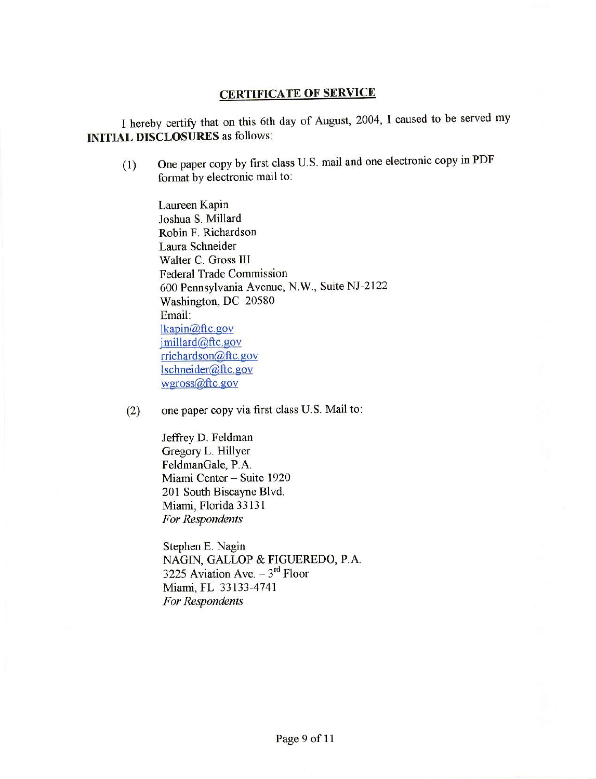## **CERTIFICATE OF SERVICE**

I hereby certify that on this 6th day of August, 2004, I caused to be served my **INITIAL DISCLOSURES** as follows:

One paper copy by first class U.S. mail and one electronic copy in PDF  $(1)$ format by electronic mail to:

Laureen Kapin Joshua S. Millard Robin F. Richardson Laura Schneider Walter C. Gross III **Federal Trade Commission** 600 Pennsylvania Avenue, N.W., Suite NJ-2122 Washington, DC 20580 Email: lkapin@ftc.gov jmillard@ftc.gov rrichardson@ftc.gov lschneider@ftc.gov wgross@ftc.gov

one paper copy via first class U.S. Mail to:  $(2)$ 

> Jeffrey D. Feldman Gregory L. Hillyer FeldmanGale, P.A. Miami Center - Suite 1920 201 South Biscayne Blvd. Miami, Florida 33131 For Respondents

Stephen E. Nagin NAGIN, GALLOP & FIGUEREDO, P.A. 3225 Aviation Ave.  $-3^{rd}$  Floor Miami, FL 33133-4741 For Respondents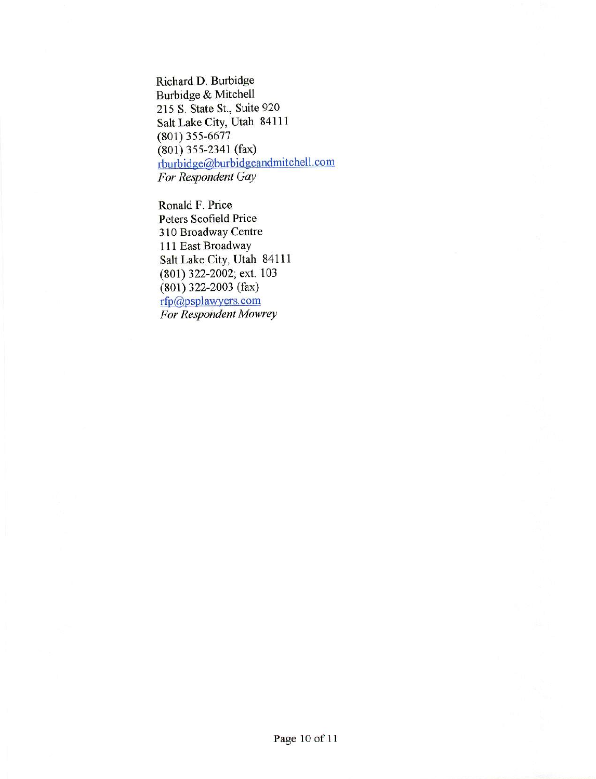Richard D. Burbidge Burbidge & Mitchell 215 S. State St., Suite 920 Salt Lake City, Utah 84111  $(801)$  355-6677  $(801)$  355-2341 (fax) rburbidge@burbidgeandmitchell.com For Respondent Gay

Ronald F. Price Peters Scofield Price 310 Broadway Centre 111 East Broadway Salt Lake City, Utah 84111 (801) 322-2002; ext. 103  $(801)$  322-2003 (fax) rfp@psplawyers.com For Respondent Mowrey